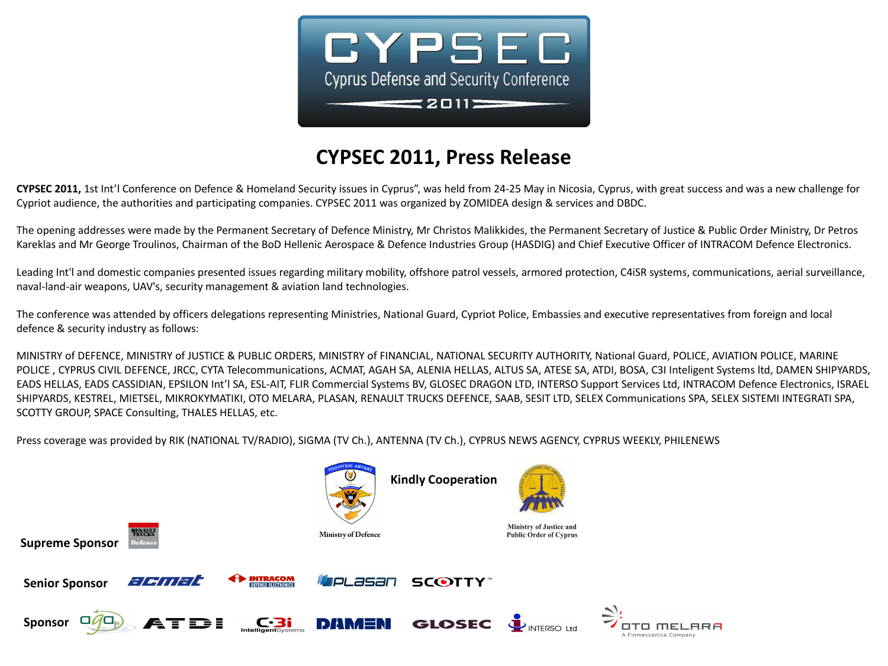

## **CYPSEC 2011, Press Release**

**CYPSEC 2011,** 1st Int'l Conference on Defence & Homeland Security issues in Cyprus", was held from 24-25 May in Nicosia, Cyprus, with great success and was a new challenge for Cypriot audience, the authorities and participating companies. CYPSEC 2011 was organized by ZOMIDEA design & services and DBDC.

The opening addresses were made by the Permanent Secretary of Defence Ministry, Mr Christos Malikkides, the Permanent Secretary of Justice & Public Order Ministry, Dr Petros Kareklas and Mr George Troulinos, Chairman of the BoD Hellenic Aerospace & Defence Industries Group (HASDIG) and Chief Executive Officer of INTRACOM Defence Electronics.

Leading Int'l and domestic companies presented issues regarding military mobility, offshore patrol vessels, armored protection, C4iSR systems, communications, aerial surveillance, naval-land-air weapons, UAV's, security management & aviation land technologies.

The conference was attended by officers delegations representing Ministries, National Guard, Cypriot Police, Embassies and executive representatives from foreign and local defence & security industry as follows:

MINISTRY of DEFENCE, MINISTRY of JUSTICE & PUBLIC ORDERS, MINISTRY of FINANCIAL, NATIONAL SECURITY AUTHORITY, National Guard, POLICE, AVIATION POLICE, MARINE POLICE, CYPRUS CIVIL DEFENCE, JRCC, CYTA Telecommunications, ACMAT, AGAH SA, ALENIA HELLAS, ALTUS SA, ATESE SA, ATDI, BOSA, C3I Inteligent Systems ltd, DAMEN SHIPYARDS, EADS HELLAS, EADS CASSIDIAN, EPSILON Int'l SA, ESL-AIT, FLIR Commercial Systems BV, GLOSEC DRAGON LTD, INTERSO Support Services Ltd, INTRACOM Defence Electronics, ISRAEL SHIPYARDS, KESTREL, MIETSEL, MIKROKYMATIKI, OTO MELARA, PLASAN, RENAULT TRUCKS DEFENCE, SAAB, SESIT LTD, SELEX Communications SPA, SELEX SISTEMI INTEGRATI SPA, SCOTTY GROUP, SPACE Consulting, THALES HELLAS, etc.

Press coverage was provided by RIK (NATIONAL TV/RADIO), SIGMA (TV Ch.), ANTENNA (TV Ch.), CYPRUS NEWS AGENCY, CYPRUS WEEKLY, PHILENEWS